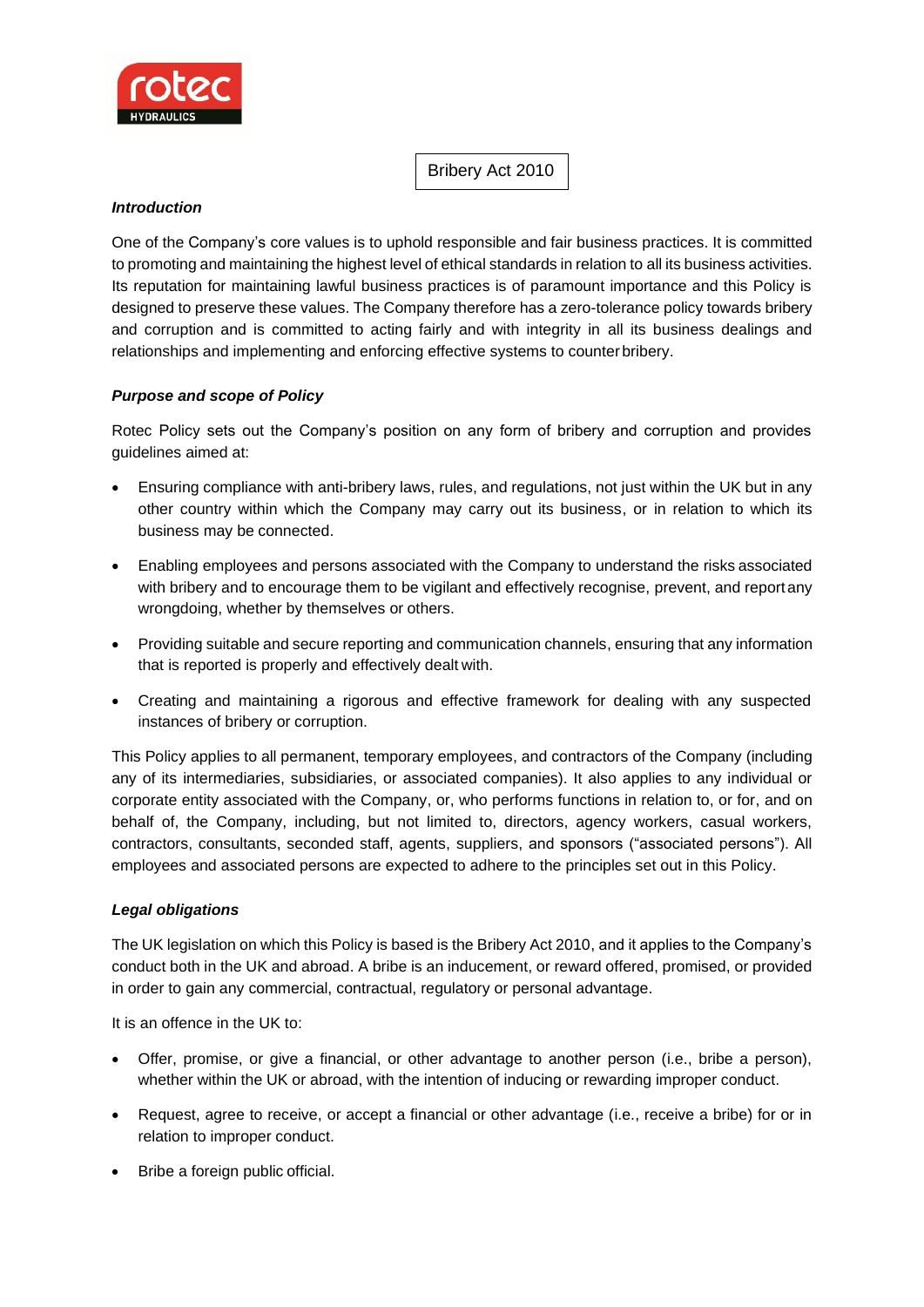

Bribery Act 2010

# *Introduction*

One of the Company's core values is to uphold responsible and fair business practices. It is committed to promoting and maintaining the highest level of ethical standards in relation to all its business activities. Its reputation for maintaining lawful business practices is of paramount importance and this Policy is designed to preserve these values. The Company therefore has a zero-tolerance policy towards bribery and corruption and is committed to acting fairly and with integrity in all its business dealings and relationships and implementing and enforcing effective systems to counterbribery.

# *Purpose and scope of Policy*

Rotec Policy sets out the Company's position on any form of bribery and corruption and provides guidelines aimed at:

- Ensuring compliance with anti-bribery laws, rules, and regulations, not just within the UK but in any other country within which the Company may carry out its business, or in relation to which its business may be connected.
- Enabling employees and persons associated with the Company to understand the risks associated with bribery and to encourage them to be vigilant and effectively recognise, prevent, and reportany wrongdoing, whether by themselves or others.
- Providing suitable and secure reporting and communication channels, ensuring that any information that is reported is properly and effectively dealt with.
- Creating and maintaining a rigorous and effective framework for dealing with any suspected instances of bribery or corruption.

This Policy applies to all permanent, temporary employees, and contractors of the Company (including any of its intermediaries, subsidiaries, or associated companies). It also applies to any individual or corporate entity associated with the Company, or, who performs functions in relation to, or for, and on behalf of, the Company, including, but not limited to, directors, agency workers, casual workers, contractors, consultants, seconded staff, agents, suppliers, and sponsors ("associated persons"). All employees and associated persons are expected to adhere to the principles set out in this Policy.

## *Legal obligations*

The UK legislation on which this Policy is based is the Bribery Act 2010, and it applies to the Company's conduct both in the UK and abroad. A bribe is an inducement, or reward offered, promised, or provided in order to gain any commercial, contractual, regulatory or personal advantage.

It is an offence in the UK to:

- Offer, promise, or give a financial, or other advantage to another person (i.e., bribe a person), whether within the UK or abroad, with the intention of inducing or rewarding improper conduct.
- Request, agree to receive, or accept a financial or other advantage (i.e., receive a bribe) for or in relation to improper conduct.
- Bribe a foreign public official.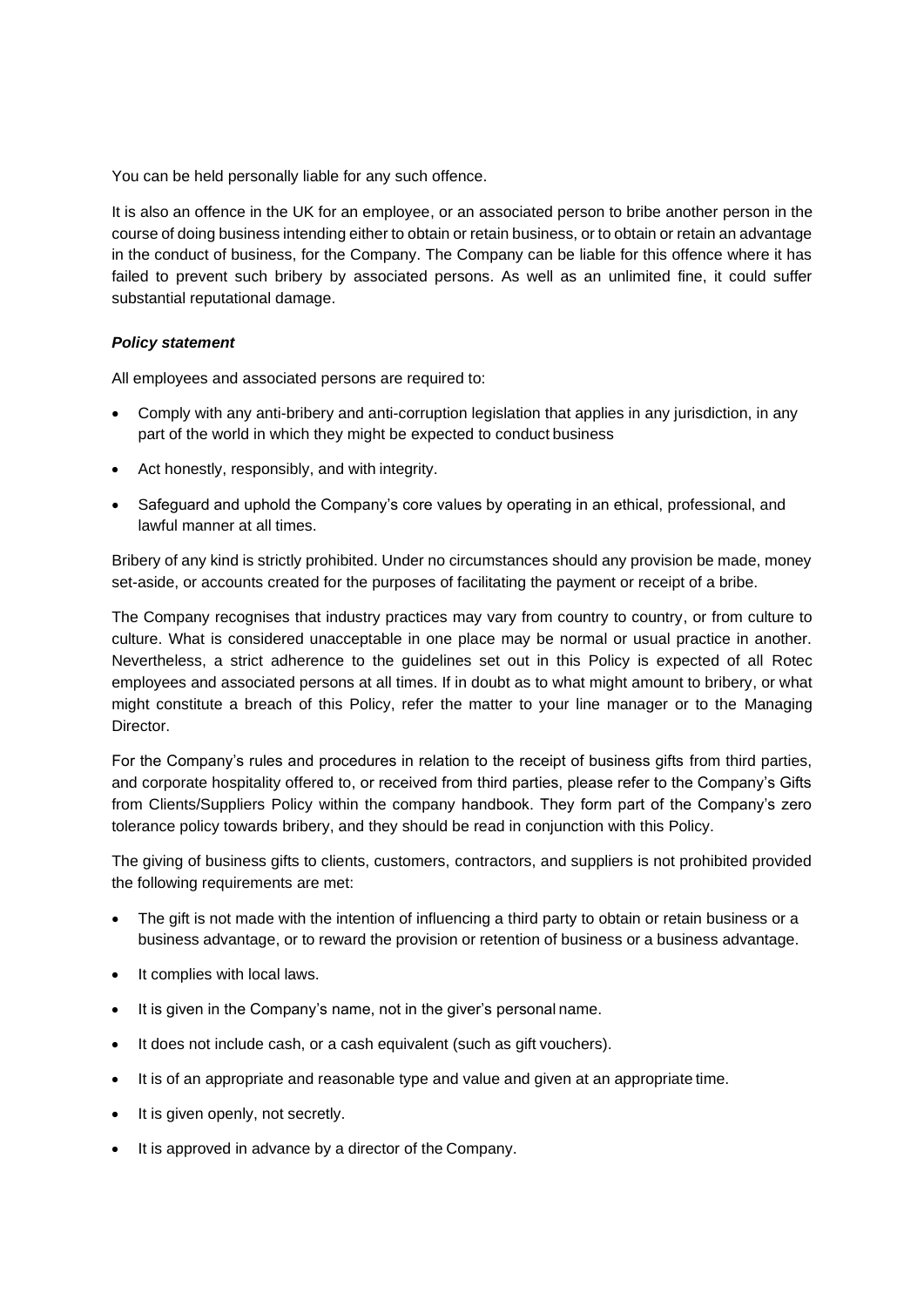You can be held personally liable for any such offence.

It is also an offence in the UK for an employee, or an associated person to bribe another person in the course of doing business intending either to obtain or retain business, or to obtain or retain an advantage in the conduct of business, for the Company. The Company can be liable for this offence where it has failed to prevent such bribery by associated persons. As well as an unlimited fine, it could suffer substantial reputational damage.

## *Policy statement*

All employees and associated persons are required to:

- Comply with any anti-bribery and anti-corruption legislation that applies in any jurisdiction, in any part of the world in which they might be expected to conduct business
- Act honestly, responsibly, and with integrity.
- Safeguard and uphold the Company's core values by operating in an ethical, professional, and lawful manner at all times.

Bribery of any kind is strictly prohibited. Under no circumstances should any provision be made, money set-aside, or accounts created for the purposes of facilitating the payment or receipt of a bribe.

The Company recognises that industry practices may vary from country to country, or from culture to culture. What is considered unacceptable in one place may be normal or usual practice in another. Nevertheless, a strict adherence to the guidelines set out in this Policy is expected of all Rotec employees and associated persons at all times. If in doubt as to what might amount to bribery, or what might constitute a breach of this Policy, refer the matter to your line manager or to the Managing Director.

For the Company's rules and procedures in relation to the receipt of business gifts from third parties, and corporate hospitality offered to, or received from third parties, please refer to the Company's Gifts from Clients/Suppliers Policy within the company handbook. They form part of the Company's zero tolerance policy towards bribery, and they should be read in conjunction with this Policy.

The giving of business gifts to clients, customers, contractors, and suppliers is not prohibited provided the following requirements are met:

- The gift is not made with the intention of influencing a third party to obtain or retain business or a business advantage, or to reward the provision or retention of business or a business advantage.
- It complies with local laws.
- It is given in the Company's name, not in the giver's personal name.
- It does not include cash, or a cash equivalent (such as gift vouchers).
- It is of an appropriate and reasonable type and value and given at an appropriate time.
- It is given openly, not secretly.
- It is approved in advance by a director of the Company.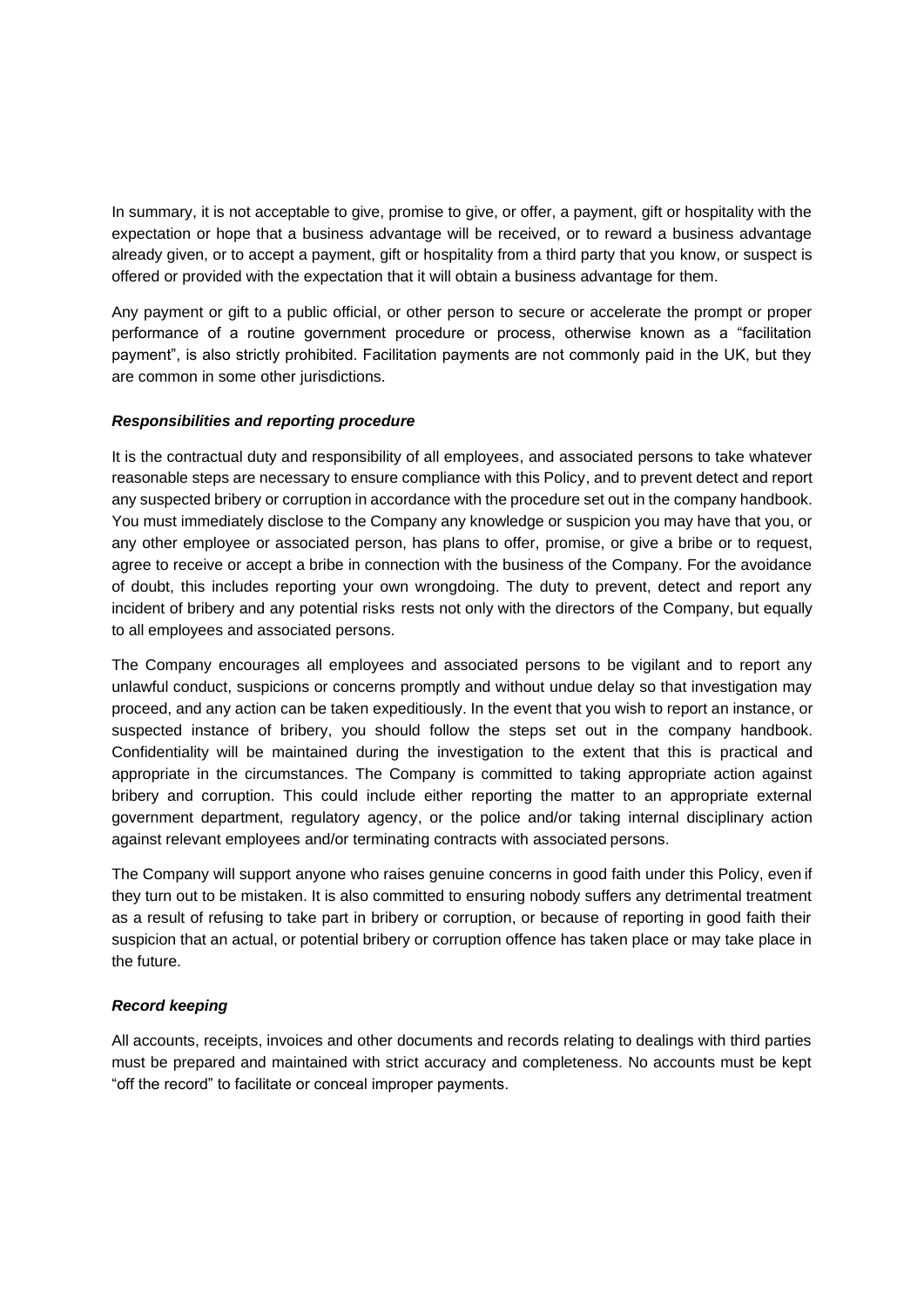In summary, it is not acceptable to give, promise to give, or offer, a payment, gift or hospitality with the expectation or hope that a business advantage will be received, or to reward a business advantage already given, or to accept a payment, gift or hospitality from a third party that you know, or suspect is offered or provided with the expectation that it will obtain a business advantage for them.

Any payment or gift to a public official, or other person to secure or accelerate the prompt or proper performance of a routine government procedure or process, otherwise known as a "facilitation payment", is also strictly prohibited. Facilitation payments are not commonly paid in the UK, but they are common in some other jurisdictions.

# *Responsibilities and reporting procedure*

It is the contractual duty and responsibility of all employees, and associated persons to take whatever reasonable steps are necessary to ensure compliance with this Policy, and to prevent detect and report any suspected bribery or corruption in accordance with the procedure set out in the company handbook. You must immediately disclose to the Company any knowledge or suspicion you may have that you, or any other employee or associated person, has plans to offer, promise, or give a bribe or to request, agree to receive or accept a bribe in connection with the business of the Company. For the avoidance of doubt, this includes reporting your own wrongdoing. The duty to prevent, detect and report any incident of bribery and any potential risks rests not only with the directors of the Company, but equally to all employees and associated persons.

The Company encourages all employees and associated persons to be vigilant and to report any unlawful conduct, suspicions or concerns promptly and without undue delay so that investigation may proceed, and any action can be taken expeditiously. In the event that you wish to report an instance, or suspected instance of bribery, you should follow the steps set out in the company handbook. Confidentiality will be maintained during the investigation to the extent that this is practical and appropriate in the circumstances. The Company is committed to taking appropriate action against bribery and corruption. This could include either reporting the matter to an appropriate external government department, regulatory agency, or the police and/or taking internal disciplinary action against relevant employees and/or terminating contracts with associated persons.

The Company will support anyone who raises genuine concerns in good faith under this Policy, even if they turn out to be mistaken. It is also committed to ensuring nobody suffers any detrimental treatment as a result of refusing to take part in bribery or corruption, or because of reporting in good faith their suspicion that an actual, or potential bribery or corruption offence has taken place or may take place in the future.

## *Record keeping*

All accounts, receipts, invoices and other documents and records relating to dealings with third parties must be prepared and maintained with strict accuracy and completeness. No accounts must be kept "off the record" to facilitate or conceal improper payments.